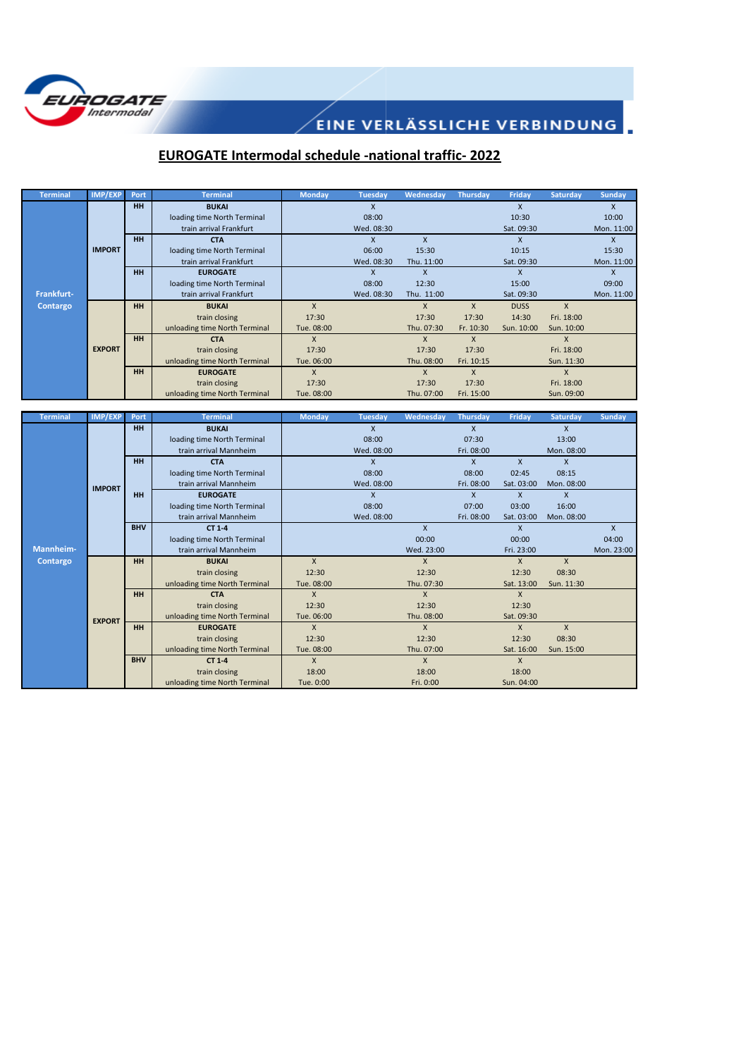

## **EUROGATE Intermodal schedule -national traffic- 2022**

| <b>Terminal</b> | IMP/EXP       | Port      | <b>Terminal</b>               | <b>Monday</b> | <b>Tuesday</b> | Wednesday  | <b>Thursday</b> | Friday      | <b>Saturday</b> | <b>Sunday</b> |
|-----------------|---------------|-----------|-------------------------------|---------------|----------------|------------|-----------------|-------------|-----------------|---------------|
|                 |               | <b>HH</b> | <b>BUKAI</b>                  |               | X              |            |                 | X           |                 | X             |
|                 |               |           | loading time North Terminal   |               | 08:00          |            |                 | 10:30       |                 | 10:00         |
|                 |               |           | train arrival Frankfurt       |               | Wed. 08:30     |            |                 | Sat. 09:30  |                 | Mon. 11:00    |
|                 |               | HH        | <b>CTA</b>                    |               |                | X          |                 |             |                 | x             |
|                 | <b>IMPORT</b> |           | loading time North Terminal   |               | 06:00          | 15:30      |                 | 10:15       |                 | 15:30         |
|                 |               |           | train arrival Frankfurt       |               | Wed. 08:30     | Thu. 11:00 |                 | Sat. 09:30  |                 | Mon. 11:00    |
|                 |               | HH        | <b>EUROGATE</b>               |               | $\mathsf{x}$   |            |                 | X           |                 | x             |
|                 |               |           | loading time North Terminal   |               | 08:00          | 12:30      |                 | 15:00       |                 | 09:00         |
| Frankfurt-      |               |           | train arrival Frankfurt       |               | Wed. 08:30     | Thu. 11:00 |                 | Sat. 09:30  |                 | Mon. 11:00    |
| Contargo        |               | HH        | <b>BUKAI</b>                  | $\mathsf{x}$  |                | X          | X               | <b>DUSS</b> | $\mathsf{x}$    |               |
|                 |               |           | train closing                 | 17:30         |                | 17:30      | 17:30           | 14:30       | Fri. 18:00      |               |
|                 |               |           | unloading time North Terminal | Tue. 08:00    |                | Thu. 07:30 | Fr. 10:30       | Sun. 10:00  | Sun. 10:00      |               |
|                 |               | HH        | <b>CTA</b>                    | $\mathsf{x}$  |                | X          | X               |             | $\mathsf{X}$    |               |
|                 | <b>EXPORT</b> |           | train closing                 | 17:30         |                | 17:30      | 17:30           |             | Fri. 18:00      |               |
|                 |               |           | unloading time North Terminal | Tue. 06:00    |                | Thu. 08:00 | Fri. 10:15      |             | Sun. 11:30      |               |
|                 |               | <b>HH</b> | <b>EUROGATE</b>               | $\mathsf{x}$  |                | X          | X               |             | $\mathsf{X}$    |               |
|                 |               |           | train closing                 | 17:30         |                | 17:30      | 17:30           |             | Fri. 18:00      |               |
|                 |               |           | unloading time North Terminal | Tue. 08:00    |                | Thu. 07:00 | Fri. 15:00      |             | Sun. 09:00      |               |

| <b>Terminal</b> | <b>IMP/EXP</b> | Port       | <b>Terminal</b>               | <b>Monday</b> | <b>Tuesday</b>          | Wednesday  | Thursday   | Friday       | <b>Saturday</b> | <b>Sunday</b> |
|-----------------|----------------|------------|-------------------------------|---------------|-------------------------|------------|------------|--------------|-----------------|---------------|
|                 |                | <b>HH</b>  | <b>BUKAI</b>                  |               | $\mathsf{x}$            |            | X          |              | $\mathsf{x}$    |               |
|                 |                |            | loading time North Terminal   |               | 08:00                   |            | 07:30      |              | 13:00           |               |
|                 |                |            | train arrival Mannheim        |               | Wed. 08:00              |            | Fri. 08:00 |              | Mon. 08:00      |               |
|                 |                | <b>HH</b>  | <b>CTA</b>                    |               | X                       |            | X          | $\mathsf{x}$ | $\mathsf{x}$    |               |
|                 |                |            | loading time North Terminal   |               | 08:00                   |            | 08:00      | 02:45        | 08:15           |               |
|                 | <b>IMPORT</b>  |            | train arrival Mannheim        |               | Wed. 08:00              |            | Fri. 08:00 | Sat. 03:00   | Mon. 08:00      |               |
|                 |                | HH         | <b>EUROGATE</b>               |               | $\overline{\mathsf{x}}$ |            | X          | $\mathsf{x}$ | $\mathsf{x}$    |               |
|                 |                |            | loading time North Terminal   |               | 08:00                   |            | 07:00      | 03:00        | 16:00           |               |
|                 |                |            | train arrival Mannheim        |               | Wed. 08:00              |            | Fri. 08:00 | Sat. 03:00   | Mon. 08:00      |               |
|                 |                | <b>BHV</b> | CT 1-4                        |               |                         | X          |            | $\mathsf{x}$ |                 | $\mathsf{x}$  |
|                 |                |            | loading time North Terminal   |               |                         | 00:00      |            | 00:00        |                 | 04:00         |
| Mannheim-       |                |            | train arrival Mannheim        |               |                         | Wed. 23:00 |            | Fri. 23:00   |                 | Mon. 23:00    |
| Contargo        |                | <b>HH</b>  | <b>BUKAI</b>                  | $\mathsf{x}$  |                         | X          |            | $\mathsf{x}$ | $\mathsf{x}$    |               |
|                 |                |            | train closing                 | 12:30         |                         | 12:30      |            | 12:30        | 08:30           |               |
|                 |                |            | unloading time North Terminal | Tue. 08:00    |                         | Thu. 07:30 |            | Sat. 13:00   | Sun. 11:30      |               |
|                 |                | <b>HH</b>  | <b>CTA</b>                    | $\mathsf{x}$  |                         | X          |            | $\mathsf{x}$ |                 |               |
|                 |                |            | train closing                 | 12:30         |                         | 12:30      |            | 12:30        |                 |               |
|                 | <b>EXPORT</b>  |            | unloading time North Terminal | Tue. 06:00    |                         | Thu. 08:00 |            | Sat. 09:30   |                 |               |
|                 |                | HH         | <b>EUROGATE</b>               | $\mathsf{x}$  |                         | X          |            | $\mathsf{x}$ | $\mathsf{x}$    |               |
|                 |                |            | train closing                 | 12:30         |                         | 12:30      |            | 12:30        | 08:30           |               |
|                 |                |            | unloading time North Terminal | Tue. 08:00    |                         | Thu. 07:00 |            | Sat. 16:00   | Sun. 15:00      |               |
|                 |                | <b>BHV</b> | CT 1-4                        | X             |                         | X          |            | $\mathsf{X}$ |                 |               |
|                 |                |            | train closing                 | 18:00         |                         | 18:00      |            | 18:00        |                 |               |
|                 |                |            | unloading time North Terminal | Tue. 0:00     |                         | Fri. 0:00  |            | Sun. 04:00   |                 |               |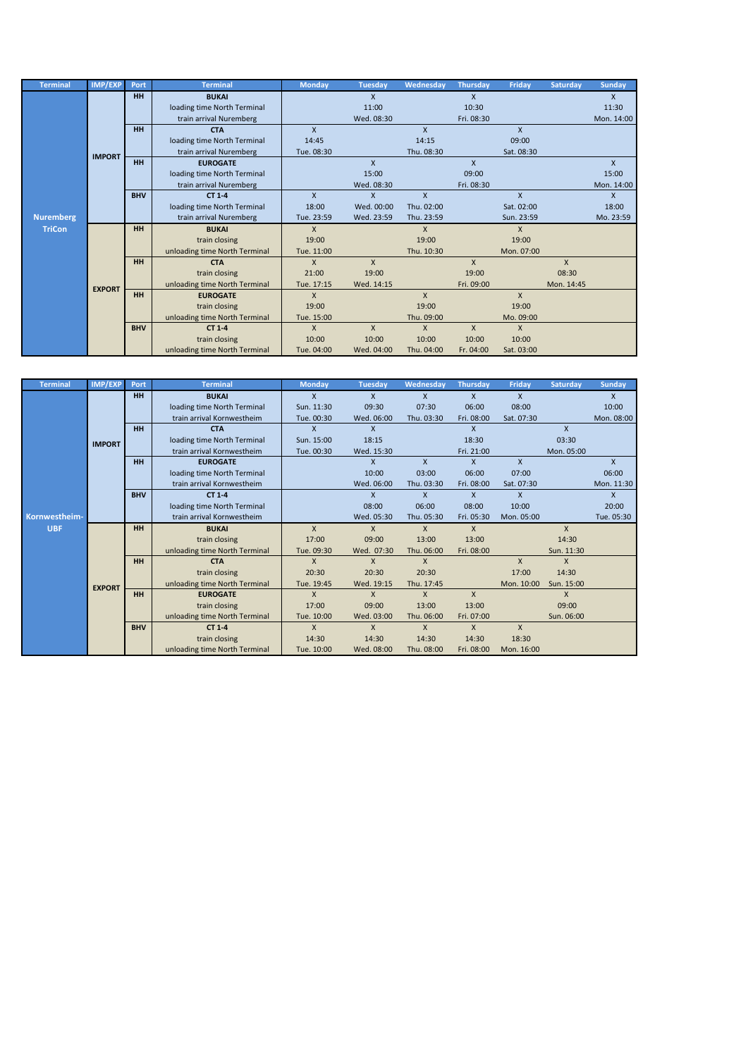| <b>Terminal</b>  | IMP/EXP       | Port       | <b>Terminal</b>               | <b>Monday</b> | <b>Tuesday</b> | Wednesday    | <b>Thursday</b> | Friday       | <b>Saturday</b> | <b>Sunday</b> |
|------------------|---------------|------------|-------------------------------|---------------|----------------|--------------|-----------------|--------------|-----------------|---------------|
|                  |               | <b>HH</b>  | <b>BUKAI</b>                  |               | $\mathsf{x}$   |              | X               |              |                 | $\mathsf{x}$  |
|                  |               |            | loading time North Terminal   |               | 11:00          |              | 10:30           |              |                 | 11:30         |
|                  |               |            | train arrival Nuremberg       |               | Wed. 08:30     |              | Fri. 08:30      |              |                 | Mon. 14:00    |
|                  |               | <b>HH</b>  | <b>CTA</b>                    | $\mathsf{x}$  |                | X            |                 | $\mathsf{x}$ |                 |               |
|                  |               |            | loading time North Terminal   | 14:45         |                | 14:15        |                 | 09:00        |                 |               |
|                  | <b>IMPORT</b> |            | train arrival Nuremberg       | Tue. 08:30    |                | Thu. 08:30   |                 | Sat. 08:30   |                 |               |
|                  |               | <b>HH</b>  | <b>EUROGATE</b>               |               | $\mathsf{x}$   |              | $\mathsf{x}$    |              |                 | $\mathsf{X}$  |
|                  |               |            | loading time North Terminal   |               | 15:00          |              | 09:00           |              |                 | 15:00         |
|                  |               |            | train arrival Nuremberg       |               | Wed. 08:30     |              | Fri. 08:30      |              |                 | Mon. 14:00    |
|                  |               | <b>BHV</b> | CT 1-4                        | X             | $\mathsf{x}$   | X            |                 | $\mathsf{X}$ |                 | $\mathsf{x}$  |
|                  |               |            | loading time North Terminal   | 18:00         | Wed. 00:00     | Thu. 02:00   |                 | Sat. 02:00   |                 | 18:00         |
| <b>Nuremberg</b> |               |            | train arrival Nuremberg       | Tue. 23:59    | Wed. 23:59     | Thu. 23:59   |                 | Sun. 23:59   |                 | Mo. 23:59     |
| <b>TriCon</b>    |               | <b>HH</b>  | <b>BUKAI</b>                  | $\mathsf{x}$  |                | X            |                 | X            |                 |               |
|                  |               |            | train closing                 | 19:00         |                | 19:00        |                 | 19:00        |                 |               |
|                  |               |            | unloading time North Terminal | Tue. 11:00    |                | Thu. 10:30   |                 | Mon. 07:00   |                 |               |
|                  |               | HH         | <b>CTA</b>                    | X             | $\mathsf{x}$   |              | $\mathsf{x}$    |              | $\mathsf{X}$    |               |
|                  |               |            | train closing                 | 21:00         | 19:00          |              | 19:00           |              | 08:30           |               |
|                  | <b>EXPORT</b> |            | unloading time North Terminal | Tue. 17:15    | Wed. 14:15     |              | Fri. 09:00      |              | Mon. 14:45      |               |
|                  |               | HH         | <b>EUROGATE</b>               | $\mathsf{X}$  |                | $\mathsf{x}$ |                 | $\mathsf{x}$ |                 |               |
|                  |               |            | train closing                 | 19:00         |                | 19:00        |                 | 19:00        |                 |               |
|                  |               |            | unloading time North Terminal | Tue. 15:00    |                | Thu. 09:00   |                 | Mo. 09:00    |                 |               |
|                  |               | <b>BHV</b> | CT 1-4                        | $\mathsf{X}$  | $\mathsf{x}$   | X            | X               | $\mathsf{x}$ |                 |               |
|                  |               |            | train closing                 | 10:00         | 10:00          | 10:00        | 10:00           | 10:00        |                 |               |
|                  |               |            | unloading time North Terminal | Tue. 04:00    | Wed. 04:00     | Thu. 04:00   | Fr. 04:00       | Sat. 03:00   |                 |               |

| <b>Terminal</b> | IMP/EXP       | Port       | <b>Terminal</b>               | <b>Monday</b> | <b>Tuesday</b> | Wednesday    | <b>Thursday</b> | <b>Friday</b> | <b>Saturday</b> | <b>Sunday</b> |
|-----------------|---------------|------------|-------------------------------|---------------|----------------|--------------|-----------------|---------------|-----------------|---------------|
|                 |               | <b>HH</b>  | <b>BUKAI</b>                  | $\mathsf{x}$  | X              | X            | X               | $\mathsf{x}$  |                 | X             |
|                 |               |            | loading time North Terminal   | Sun. 11:30    | 09:30          | 07:30        | 06:00           | 08:00         |                 | 10:00         |
|                 |               |            | train arrival Kornwestheim    | Tue. 00:30    | Wed. 06:00     | Thu. 03:30   | Fri. 08:00      | Sat. 07:30    |                 | Mon. 08:00    |
|                 |               | <b>HH</b>  | <b>CTA</b>                    | X             | $\mathsf{x}$   |              | X               |               | $\mathsf{x}$    |               |
|                 | <b>IMPORT</b> |            | loading time North Terminal   | Sun. 15:00    | 18:15          |              | 18:30           |               | 03:30           |               |
|                 |               |            | train arrival Kornwestheim    | Tue. 00:30    | Wed. 15:30     |              | Fri. 21:00      |               | Mon. 05:00      |               |
|                 |               | <b>HH</b>  | <b>EUROGATE</b>               |               | $\mathsf{x}$   | $\mathsf{x}$ | X               | $\mathsf{x}$  |                 | $\mathsf{x}$  |
|                 |               |            | loading time North Terminal   |               | 10:00          | 03:00        | 06:00           | 07:00         |                 | 06:00         |
|                 |               |            | train arrival Kornwestheim    |               | Wed. 06:00     | Thu. 03:30   | Fri. 08:00      | Sat. 07:30    |                 | Mon. 11:30    |
|                 |               | <b>BHV</b> | CT 1-4                        |               | $\mathsf{x}$   | $\mathsf{x}$ | X               | $\mathsf{x}$  |                 | $\mathsf{x}$  |
|                 |               |            | loading time North Terminal   |               | 08:00          | 06:00        | 08:00           | 10:00         |                 | 20:00         |
| Kornwestheim-   |               |            | train arrival Kornwestheim    |               | Wed. 05:30     | Thu. 05:30   | Fri. 05:30      | Mon. 05:00    |                 | Tue. 05:30    |
| <b>UBF</b>      |               | <b>HH</b>  | <b>BUKAI</b>                  | $\mathsf{x}$  | X              | $\mathsf{x}$ | X               |               | $\mathsf{X}$    |               |
|                 |               |            | train closing                 | 17:00         | 09:00          | 13:00        | 13:00           |               | 14:30           |               |
|                 |               |            | unloading time North Terminal | Tue. 09:30    | Wed. 07:30     | Thu. 06:00   | Fri. 08:00      |               | Sun. 11:30      |               |
|                 |               | <b>HH</b>  | <b>CTA</b>                    | X             | X              | X            |                 | $\mathsf{x}$  | X               |               |
|                 |               |            | train closing                 | 20:30         | 20:30          | 20:30        |                 | 17:00         | 14:30           |               |
|                 | <b>EXPORT</b> |            | unloading time North Terminal | Tue. 19:45    | Wed. 19:15     | Thu. 17:45   |                 | Mon. 10:00    | Sun. 15:00      |               |
|                 |               | <b>HH</b>  | <b>EUROGATE</b>               | $\mathsf{x}$  | X              | X            | $\mathsf{x}$    |               | $\mathsf{x}$    |               |
|                 |               |            | train closing                 | 17:00         | 09:00          | 13:00        | 13:00           |               | 09:00           |               |
|                 |               |            | unloading time North Terminal | Tue. 10:00    | Wed. 03:00     | Thu. 06:00   | Fri. 07:00      |               | Sun. 06:00      |               |
|                 |               | <b>BHV</b> | CT 1-4                        | X             | X              | X            | X               | $\mathsf{x}$  |                 |               |
|                 |               |            | train closing                 | 14:30         | 14:30          | 14:30        | 14:30           | 18:30         |                 |               |
|                 |               |            | unloading time North Terminal | Tue. 10:00    | Wed. 08:00     | Thu. 08:00   | Fri. 08:00      | Mon. 16:00    |                 |               |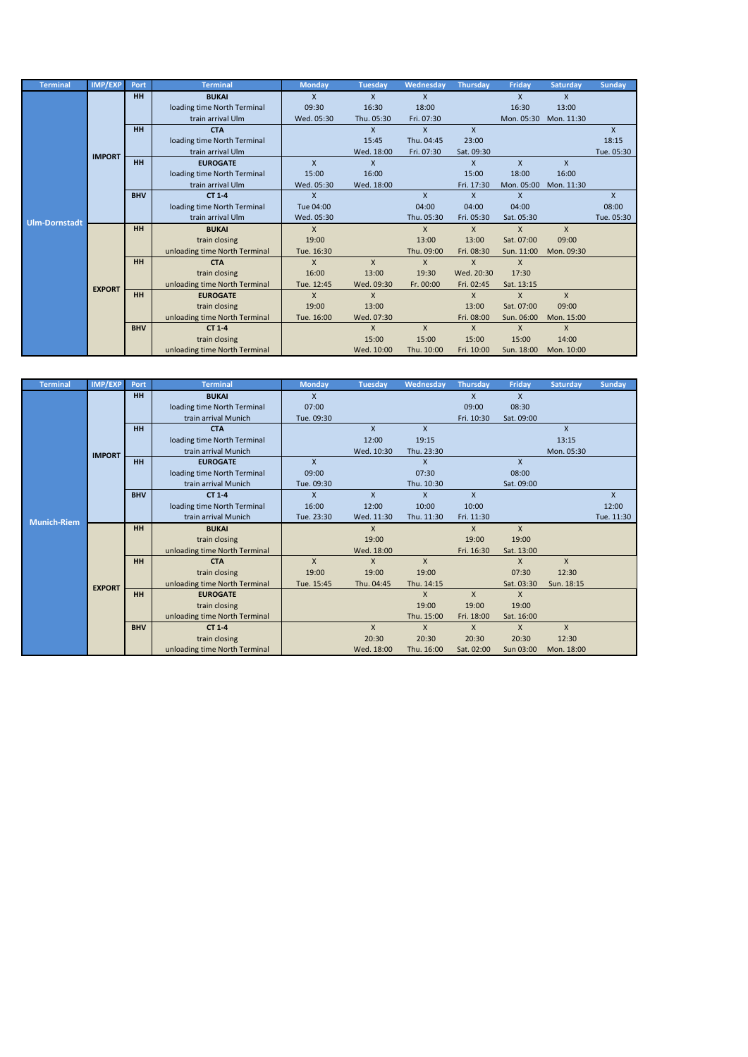| <b>Terminal</b> | <b>IMP/EXP</b> | Port       | <b>Terminal</b>               | <b>Monday</b> | <b>Tuesday</b> | Wednesday  | <b>Thursday</b> | <b>Fridav</b> | <b>Saturdav</b> | <b>Sunday</b> |
|-----------------|----------------|------------|-------------------------------|---------------|----------------|------------|-----------------|---------------|-----------------|---------------|
|                 |                | <b>HH</b>  | <b>BUKAI</b>                  | $\mathsf{x}$  | $\mathsf{x}$   | X          |                 | $\mathsf{x}$  | X               |               |
|                 |                |            | loading time North Terminal   | 09:30         | 16:30          | 18:00      |                 | 16:30         | 13:00           |               |
|                 |                |            | train arrival Ulm             | Wed. 05:30    | Thu. 05:30     | Fri. 07:30 |                 | Mon. 05:30    | Mon. 11:30      |               |
|                 |                | <b>HH</b>  | <b>CTA</b>                    |               | $\mathsf{X}$   | X          | X               |               |                 | X             |
|                 |                |            | loading time North Terminal   |               | 15:45          | Thu. 04:45 | 23:00           |               |                 | 18:15         |
|                 | <b>IMPORT</b>  |            | train arrival Ulm             |               | Wed. 18:00     | Fri. 07:30 | Sat. 09:30      |               |                 | Tue. 05:30    |
|                 |                | <b>HH</b>  | <b>EUROGATE</b>               | $\mathsf{x}$  | $\mathsf{x}$   |            | X               | $\mathsf{x}$  | $\mathsf{x}$    |               |
|                 |                |            | loading time North Terminal   | 15:00         | 16:00          |            | 15:00           | 18:00         | 16:00           |               |
|                 |                |            | train arrival Ulm             | Wed. 05:30    | Wed. 18:00     |            | Fri. 17:30      | Mon. 05:00    | Mon. 11:30      |               |
|                 |                | <b>BHV</b> | CT 1-4                        | X             |                | X          | X               | $\mathsf{x}$  |                 | X             |
|                 |                |            | loading time North Terminal   | Tue 04:00     |                | 04:00      | 04:00           | 04:00         |                 | 08:00         |
| Ulm-Dornstadt   |                |            | train arrival Ulm             | Wed. 05:30    |                | Thu. 05:30 | Fri. 05:30      | Sat. 05:30    |                 | Tue. 05:30    |
|                 |                | <b>HH</b>  | <b>BUKAI</b>                  | X             |                | X          | X               | $\mathsf{x}$  | X               |               |
|                 |                |            | train closing                 | 19:00         |                | 13:00      | 13:00           | Sat. 07:00    | 09:00           |               |
|                 |                |            | unloading time North Terminal | Tue. 16:30    |                | Thu. 09:00 | Fri. 08:30      | Sun. 11:00    | Mon. 09:30      |               |
|                 |                | HH         | <b>CTA</b>                    | X             | $\mathsf{x}$   | X          | X               | $\mathsf{x}$  |                 |               |
|                 |                |            | train closing                 | 16:00         | 13:00          | 19:30      | Wed. 20:30      | 17:30         |                 |               |
|                 | <b>EXPORT</b>  |            | unloading time North Terminal | Tue. 12:45    | Wed. 09:30     | Fr. 00:00  | Fri. 02:45      | Sat. 13:15    |                 |               |
|                 |                | HH         | <b>EUROGATE</b>               | $\mathsf{x}$  | $\mathsf{x}$   |            | X               | $\mathsf{x}$  | $\mathsf{x}$    |               |
|                 |                |            | train closing                 | 19:00         | 13:00          |            | 13:00           | Sat. 07:00    | 09:00           |               |
|                 |                |            | unloading time North Terminal | Tue. 16:00    | Wed. 07:30     |            | Fri. 08:00      | Sun. 06:00    | Mon. 15:00      |               |
|                 |                | <b>BHV</b> | CT 1-4                        |               | $\mathsf{X}$   | X          | X               | $\mathsf{X}$  | $\mathsf{X}$    |               |
|                 |                |            | train closing                 |               | 15:00          | 15:00      | 15:00           | 15:00         | 14:00           |               |
|                 |                |            | unloading time North Terminal |               | Wed. 10:00     | Thu. 10:00 | Fri. 10:00      | Sun. 18:00    | Mon. 10:00      |               |

| <b>Terminal</b>    | IMP/EXP       | Port       | <b>Terminal</b>               | <b>Monday</b> | <b>Tuesday</b> | Wednesday  | <b>Thursday</b> | Friday       | <b>Saturday</b> | <b>Sunday</b> |
|--------------------|---------------|------------|-------------------------------|---------------|----------------|------------|-----------------|--------------|-----------------|---------------|
|                    |               | <b>HH</b>  | <b>BUKAI</b>                  | X             |                |            | X               | X            |                 |               |
|                    |               |            | loading time North Terminal   | 07:00         |                |            | 09:00           | 08:30        |                 |               |
|                    |               |            | train arrival Munich          | Tue. 09:30    |                |            | Fri. 10:30      | Sat. 09:00   |                 |               |
|                    |               | HH         | <b>CTA</b>                    |               | $\mathsf{x}$   | X          |                 |              | X               |               |
|                    |               |            | loading time North Terminal   |               | 12:00          | 19:15      |                 |              | 13:15           |               |
|                    | <b>IMPORT</b> |            | train arrival Munich          |               | Wed. 10:30     | Thu. 23:30 |                 |              | Mon. 05:30      |               |
|                    |               | HH         | <b>EUROGATE</b>               | $\mathsf{x}$  |                | X          |                 | $\mathsf{x}$ |                 |               |
|                    |               |            | loading time North Terminal   | 09:00         |                | 07:30      |                 | 08:00        |                 |               |
|                    |               |            | train arrival Munich          | Tue. 09:30    |                | Thu. 10:30 |                 | Sat. 09:00   |                 |               |
|                    |               | <b>BHV</b> | CT 1-4                        | X             | $\mathsf{x}$   | X          | $\mathsf{x}$    |              |                 | $\mathsf{X}$  |
|                    |               |            | loading time North Terminal   | 16:00         | 12:00          | 10:00      | 10:00           |              |                 | 12:00         |
| <b>Munich-Riem</b> |               |            | train arrival Munich          | Tue. 23:30    | Wed. 11:30     | Thu. 11:30 | Fri. 11:30      |              |                 | Tue. 11:30    |
|                    |               | <b>HH</b>  | <b>BUKAI</b>                  |               | X              |            | $\mathsf{x}$    | $\mathsf{x}$ |                 |               |
|                    |               |            | train closing                 |               | 19:00          |            | 19:00           | 19:00        |                 |               |
|                    |               |            | unloading time North Terminal |               | Wed. 18:00     |            | Fri. 16:30      | Sat. 13:00   |                 |               |
|                    |               | <b>HH</b>  | <b>CTA</b>                    | X             | X              | X          |                 | X            | $\mathsf{x}$    |               |
|                    |               |            | train closing                 | 19:00         | 19:00          | 19:00      |                 | 07:30        | 12:30           |               |
|                    | <b>EXPORT</b> |            | unloading time North Terminal | Tue. 15:45    | Thu. 04:45     | Thu. 14:15 |                 | Sat. 03:30   | Sun. 18:15      |               |
|                    |               | HH         | <b>EUROGATE</b>               |               |                | X          | $\mathsf{x}$    | $\mathsf{x}$ |                 |               |
|                    |               |            | train closing                 |               |                | 19:00      | 19:00           | 19:00        |                 |               |
|                    |               |            | unloading time North Terminal |               |                | Thu. 15:00 | Fri. 18:00      | Sat. 16:00   |                 |               |
|                    |               | <b>BHV</b> | CT 1-4                        |               | X              | X          | $\mathsf{x}$    | $\mathsf{X}$ | $\mathsf{X}$    |               |
|                    |               |            | train closing                 |               | 20:30          | 20:30      | 20:30           | 20:30        | 12:30           |               |
|                    |               |            | unloading time North Terminal |               | Wed. 18:00     | Thu. 16:00 | Sat. 02:00      | Sun 03:00    | Mon. 18:00      |               |